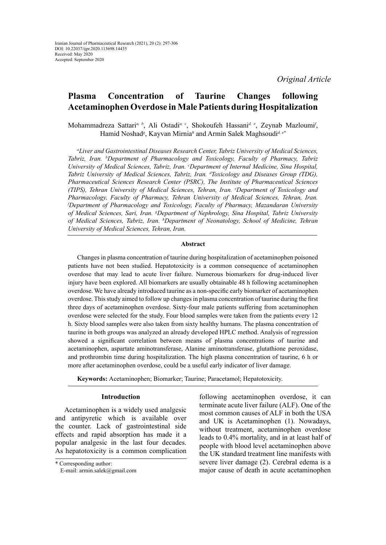*Original Article*

# **Plasma Concentration of Taurine Changes following Acetaminophen Overdose in Male Patients during Hospitalization**

Mohammadreza Sattari*a, b*, Ali Ostadi*a, c*, Shokoufeh Hassani*d, e*, Zeynab Mazloumi*<sup>f</sup>* , Hamid Noshad*<sup>g</sup>* , Kayvan Mirnia*<sup>h</sup>* and Armin Salek Maghsoudi*d, e\**

*a Liver and Gastrointestinal Diseases Research Center, Tabriz University of Medical Sciences, Tabriz, Iran. b Department of Pharmacology and Toxicology, Faculty of Pharmacy, Tabriz University of Medical Sciences, Tabriz, Iran. c Department of Internal Medicine, Sina Hospital, Tabriz University of Medical Sciences, Tabriz, Iran. d Toxicology and Diseases Group (TDG), Pharmaceutical Sciences Research Center (PSRC), The Institute of Pharmaceutical Sciences (TIPS), Tehran University of Medical Sciences, Tehran, Iran. e Department of Toxicology and Pharmacology, Faculty of Pharmacy, Tehran University of Medical Sciences, Tehran, Iran. f Department of Pharmacology and Toxicology, Faculty of Pharmacy, Mazandaran University of Medical Sciences, Sari, Iran. g Department of Nephrology, Sina Hospital, Tabriz University of Medical Sciences, Tabriz, Iran. h Department of Neonatology, School of Medicine, Tehran University of Medical Sciences, Tehran, Iran.*

### **Abstract**

Changes in plasma concentration of taurine during hospitalization of acetaminophen poisoned patients have not been studied. Hepatotoxicity is a common consequence of acetaminophen overdose that may lead to acute liver failure. Numerous biomarkers for drug-induced liver injury have been explored. All biomarkers are usually obtainable 48 h following acetaminophen overdose. We have already introduced taurine as a non-specific early biomarker of acetaminophen overdose. This study aimed to follow up changes in plasma concentration of taurine during the first three days of acetaminophen overdose. Sixty-four male patients suffering from acetaminophen overdose were selected for the study. Four blood samples were taken from the patients every 12 h. Sixty blood samples were also taken from sixty healthy humans. The plasma concentration of taurine in both groups was analyzed an already developed HPLC method. Analysis of regression showed a significant correlation between means of plasma concentrations of taurine and acetaminophen, aspartate aminotransferase, Alanine aminotransferase, glutathione peroxidase, and prothrombin time during hospitalization. The high plasma concentration of taurine, 6 h or more after acetaminophen overdose, could be a useful early indicator of liver damage.

**Keywords:** Acetaminophen; Biomarker; Taurine; Paracetamol; Hepatotoxicity.

### **Introduction**

Acetaminophen is a widely used analgesic and antipyretic which is available over the counter. Lack of gastrointestinal side effects and rapid absorption has made it a popular analgesic in the last four decades. As hepatotoxicity is a common complication following acetaminophen overdose, it can terminate acute liver failure (ALF). One of the most common causes of ALF in both the USA and UK is Acetaminophen (1). Nowadays, without treatment, acetaminophen overdose leads to 0.4% mortality, and in at least half of people with blood level acetaminophen above the UK standard treatment line manifests with severe liver damage (2). Cerebral edema is a major cause of death in acute acetaminophen

<sup>\*</sup> Corresponding author:

E-mail: [armin.salek@gmail.com](mailto:armin.salek@gmail.com)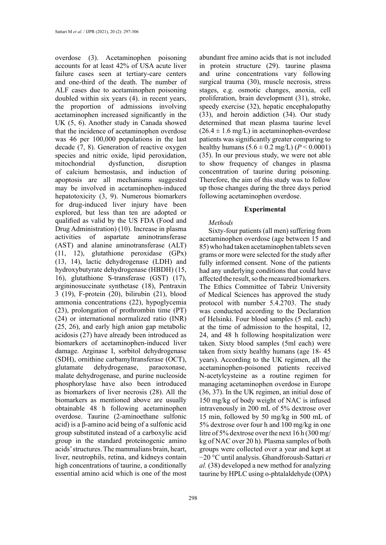overdose (3). Acetaminophen poisoning accounts for at least 42% of USA acute liver failure cases seen at tertiary-care centers and one-third of the death. The number of ALF cases due to acetaminophen poisoning doubled within six years (4). in recent years, the proportion of admissions involving acetaminophen increased significantly in the UK (5, 6). Another study in Canada showed that the incidence of acetaminophen overdose was 46 per 100,000 populations in the last decade (7, 8). Generation of reactive oxygen species and nitric oxide, lipid peroxidation, mitochondrial dysfunction, disruption of calcium hemostasis, and induction of apoptosis are all mechanisms suggested may be involved in acetaminophen-induced hepatotoxicity (3, 9). Numerous biomarkers for drug-induced liver injury have been explored, but less than ten are adopted or qualified as valid by the US FDA (Food and Drug Administration) (10). Increase in plasma activities of aspartate aminotransferase (AST) and alanine aminotransferase (ALT) (11, 12), glutathione peroxidase (GPx) (13, 14), lactic dehydrogenase (LDH) and hydroxybutyrate dehydrogenase (HBDH) (15, 16), glutathione S-transferase (GST) (17), argininosuccinate synthetase (18), Pentraxin 3 (19), F-protein (20), bilirubin (21), blood ammonia concentrations (22), hypoglycemia (23), prolongation of prothrombin time (PT) (24) or international normalized ratio (INR) (25, 26), and early high anion gap metabolic acidosis (27) have already been introduced as biomarkers of acetaminophen-induced liver damage. Arginase I, sorbitol dehydrogenase (SDH), ornithine carbamyltransferase (OCT), glutamate dehydrogenase, paraoxonase, malate dehydrogenase, and purine nucleoside phosphorylase have also been introduced as biomarkers of liver necrosis (28). All the biomarkers as mentioned above are usually obtainable 48 h following acetaminophen overdose. Taurine (2-aminoethane sulfonic acid) is a β-amino acid being of a sulfonic acid group substituted instead of a carboxylic acid group in the standard proteinogenic amino acids' structures. The mammalians brain, heart, liver, neutrophils, retina, and kidneys contain high concentrations of taurine, a conditionally essential amino acid which is one of the most

abundant free amino acids that is not included in protein structure (29). taurine plasma and urine concentrations vary following surgical trauma (30), muscle necrosis, stress stages, e.g. osmotic changes, anoxia, cell proliferation, brain development (31), stroke, speedy exercise (32), hepatic encephalopathy (33), and heroin addiction (34). Our study determined that mean plasma taurine level  $(26.4 \pm 1.6 \text{ mg/L})$  in acetaminophen-overdose patients was significantly greater comparing to healthy humans  $(5.6 \pm 0.2 \text{ mg/L}) (P < 0.0001)$ (35). In our previous study, we were not able to show frequency of changes in plasma concentration of taurine during poisoning. Therefore, the aim of this study was to follow up those changes during the three days period following acetaminophen overdose.

### **Experimental**

### *Methods*

Sixty-four patients (all men) suffering from acetaminophen overdose (age between 15 and 85) who had taken acetaminophen tablets seven grams or more were selected for the study after fully informed consent. None of the patients had any underlying conditions that could have affected the result, so the measured biomarkers. The Ethics Committee of Tabriz University of Medical Sciences has approved the study protocol with number 5.4.2703. The study was conducted according to the Declaration of Helsinki. Four blood samples (5 mL each) at the time of admission to the hospital, 12, 24, and 48 h following hospitalization were taken. Sixty blood samples (5ml each) were taken from sixty healthy humans (age 18- 45 years). According to the UK regimen, all the acetaminophen-poisoned patients received N-acetylcysteine as a routine regimen for managing acetaminophen overdose in Europe (36, 37). In the UK regimen, an initial dose of 150 mg/kg of body weight of NAC is infused intravenously in 200 mL of 5% dextrose over 15 min, followed by 50 mg/kg in 500 mL of 5% dextrose over four h and 100 mg/kg in one litre of 5% dextrose over the next 16 h (300 mg/ kg of NAC over 20 h). Plasma samples of both groups were collected over a year and kept at −20 °C until analysis. Ghandforoush-Sattari *et al.* (38) developed a new method for analyzing taurine by HPLC using o-phtalaldehyde (OPA)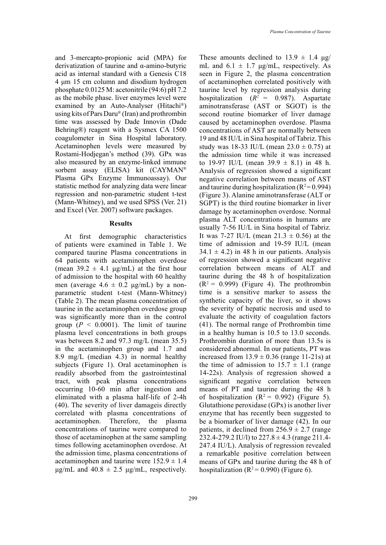and 3-mercapto-propionic acid (MPA) for derivatization of taurine and α-amino-butyric acid as internal standard with a Genesis C18 4 μm 15 cm column and disodium hydrogen phosphate 0.0125 M: acetonitrile (94:6) pH 7.2 as the mobile phase. liver enzymes level were examined by an Auto-Analyser (Hitachi®) using kits of Pars Daru® (Iran) and prothrombin time was assessed by Dade Innovin (Dade Behring®) reagent with a Sysmex CA 1500 coagulometer in Sina Hospital laboratory. Acetaminophen levels were measured by Rostami-Hodjegan's method (39). GPx was also measured by an enzyme-linked immune sorbent assay (ELISA) kit (CAYMAN® Plasma GPx Enzyme Immunoassay). Our statistic method for analyzing data were linear regression and non-parametric student t-test (Mann-Whitney), and we used SPSS (Ver. 21) and Excel (Ver. 2007) software packages.

# **Results**

At first demographic characteristics of patients were examined in Table 1. We compared taurine Plasma concentrations in 64 patients with acetaminophen overdose (mean  $39.2 \pm 4.1$  μg/mL) at the first hour of admission to the hospital with 60 healthy men (average  $4.6 \pm 0.2$  μg/mL) by a nonparametric student t-test (Mann-Whitney) (Table 2). The mean plasma concentration of taurine in the acetaminophen overdose group was significantly more than in the control group  $(P \leq 0.0001)$ . The limit of taurine plasma level concentrations in both groups was between 8.2 and 97.3 mg/L (mean 35.5) in the acetaminophen group and 1.7 and 8.9 mg/L (median 4.3) in normal healthy subjects (Figure 1). Oral acetaminophen is readily absorbed from the gastrointestinal tract, with peak plasma concentrations occurring 10-60 min after ingestion and eliminated with a plasma half-life of 2-4h (40). The severity of liver damageis directly correlated with plasma concentrations of acetaminophen. Therefore, the plasma concentrations of taurine were compared to those of acetaminophen at the same sampling times following acetaminophen overdose. At the admission time, plasma concentrations of acetaminophen and taurine were  $152.9 \pm 1.4$  $\mu$ g/mL and 40.8  $\pm$  2.5  $\mu$ g/mL, respectively.

These amounts declined to  $13.9 \pm 1.4$  μg/ mL and  $6.1 \pm 1.7$   $\mu$ g/mL, respectively. As seen in Figure 2, the plasma concentration of acetaminophen correlated positively with taurine level by regression analysis during hospitalization  $(R^2 = 0.987)$ . Aspartate aminotransferase (AST or SGOT) is the second routine biomarker of liver damage caused by acetaminophen overdose. Plasma concentrations of AST are normally between 19 and 48 IU/L in Sina hospital of Tabriz. This study was 18-33 IU/L (mean  $23.0 \pm 0.75$ ) at the admission time while it was increased to 19-97 IU/L (mean  $39.9 \pm 8.1$ ) in 48 h. Analysis of regression showed a significant negative correlation between means of AST and taurine during hospitalization  $(R^2=0.994)$ (Figure 3). Alanine aminotransferase (ALT or SGPT) is the third routine biomarker in liver damage by acetaminophen overdose. Normal plasma ALT concentrations in humans are usually 7-56 IU/L in Sina hospital of Tabriz. It was 7-27 IU/L (mean  $21.3 \pm 0.56$ ) at the time of admission and 19-59 IU/L (mean  $34.1 \pm 4.2$ ) in 48 h in our patients. Analysis of regression showed a significant negative correlation between means of ALT and taurine during the 48 h of hospitalization  $(R^2 = 0.999)$  (Figure 4). The prothrombin time is a sensitive marker to assess the synthetic capacity of the liver, so it shows the severity of hepatic necrosis and used to evaluate the activity of coagulation factors (41). The normal range of Prothrombin time in a healthy human is 10.5 to 13.0 seconds. Prothrombin duration of more than 13.5s is considered abnormal. In our patients, PT was increased from  $13.9 \pm 0.36$  (range 11-21s) at the time of admission to  $15.7 \pm 1.1$  (range 14-22s). Analysis of regression showed a significant negative correlation between means of PT and taurine during the 48 h of hospitalization  $(R^2 = 0.992)$  (Figure 5). Glutathione peroxidase (GPx) is another liver enzyme that has recently been suggested to be a biomarker of liver damage (42). In our patients, it declined from  $256.9 \pm 2.7$  (range 232.4-279.2 IU/l) to  $227.8 \pm 4.3$  (range 211.4-247.4 IU/L). Analysis of regression revealed a remarkable positive correlation between means of GPx and taurine during the 48 h of hospitalization ( $R^2$  = 0.990) (Figure 6).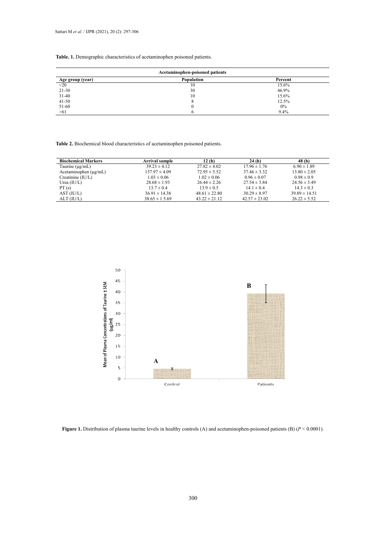# **Table. 1. Table. 1.** Demographic characteristics of acetaminophen poisoned patients.

| Acetaminophen-poisoned patients |            |         |  |  |
|---------------------------------|------------|---------|--|--|
| Age group (year)                | Population | Percent |  |  |
| $20$                            | 10         | 15.6%   |  |  |
| $21 - 30$                       | 30         | 46.9%   |  |  |
| $31-40$                         | 10         | 15.6%   |  |  |
| $41 - 50$                       |            | 12.5%   |  |  |
| 51-60                           |            | 0%      |  |  |
| $>61$                           |            | 9.4%    |  |  |

**Table 2.** Biochemical blood characteristics of acetaminophen poisoned patients.

| <b>Biochemical Markers</b> | <b>Arrival sample</b> | 12(h)             | 24 (h)            | 48 (h)            |
|----------------------------|-----------------------|-------------------|-------------------|-------------------|
| Taurine $(\mu g/mL)$       | $39.23 \pm 4.12$      | $27.82 \pm 4.02$  | $17.96 \pm 1.76$  | $6.90 \pm 1.89$   |
| Acetaminophen $(\mu g/mL)$ | $157.97 \pm 4.09$     | $72.95 \pm 5.52$  | $37.46 \pm 3.32$  | $13.80 \pm 2.05$  |
| $C$ reatinine $(IU/L)$     | $1.03 \pm 0.06$       | $1.02 \pm 0.06$   | $0.96 \pm 0.07$   | $0.98 \pm 0.9$    |
| Urea $(IU/L)$              | $28.68 \pm 1.93$      | $26.44 \pm 2.26$  | $27.54 \pm 3.84$  | $24.56 \pm 3.49$  |
| PT(s)                      | $13.7 \pm 0.4$        | $13.9 \pm 0.5$    | $14.1 \pm 0.4$    | $14.3 \pm 0.3$    |
| AST (IU/L)                 | $36.91 \pm 14.38$     | $48.61 \pm 22.80$ | $30.29 \pm 8.97$  | $39.89 \pm 14.51$ |
| ALT (IU/L)                 | $38.65 \pm 15.69$     | $43.22 \pm 21.12$ | $42.57 \pm 23.02$ | $26.22 \pm 5.52$  |



**Figure 1.** Distribution of plasma taurine levels in healthy controls (A) and acetaminophen-poisoned patients (B) ( $P < 0.0001$ ).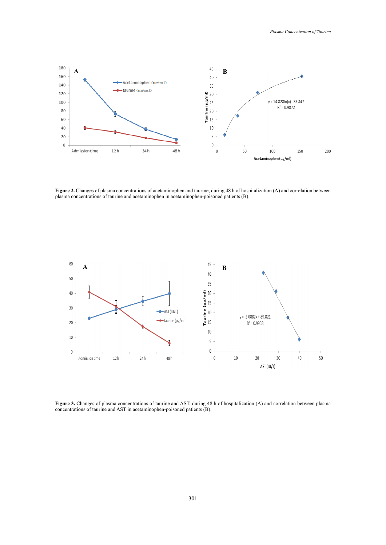

**Figure 2 Figure 2.** Changes of plasma concentrations of acetaminophen and taurine, during 48 h of hospitalization (A) and correlation between plasma concentrations of taurine and acetaminophen in acetaminophen-poisoned patients (B).



**Figure 3 Figure 3.** Changes of plasma concentrations of taurine and AST, during 48 h of hospitalization (A) and correlation between plasma concentrations of taurine and AST in acetaminophen-poisoned patients (B).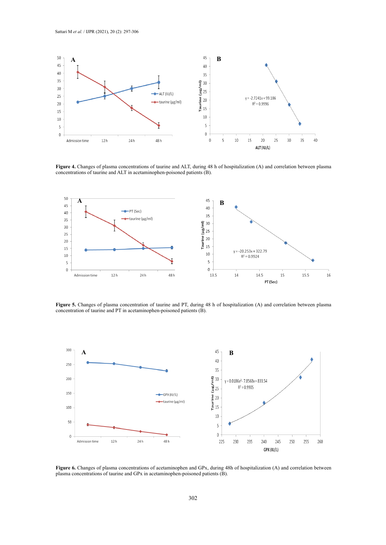

concentrations of taurine and ALT in acetaminophen-poisoned patients (B). **Figure 4.** Changes of plasma concentrations of taurine and ALT, during 48 h of hospitalization (A) and correlation between plasma



**Figure 5.** Changes of plasma concentration of taurine and PT, during 48 h of hospitalization (A) and correlation between plasma concentration of taurine and PT in acetaminophen-poisoned patients (B).



Figure 6. Changes of plasma concentrations of acetaminophen and GPx, during 48h of hospitalization (A) and correlation between plasma concentrations of taurine and GPx in acetaminophen-poisoned patients (B).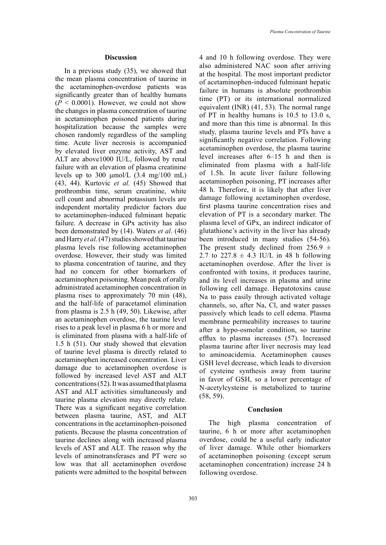In a previous study (35), we showed that the mean plasma concentration of taurine in the acetaminophen-overdose patients was significantly greater than of healthy humans  $(P < 0.0001)$ . However, we could not show the changes in plasma concentration of taurine in acetaminophen poisoned patients during hospitalization because the samples were chosen randomly regardless of the sampling time. Acute liver necrosis is accompanied by elevated liver enzyme activity, AST and ALT are above1000 IU/L, followed by renal failure with an elevation of plasma creatinine levels up to 300  $\mu$ mol/L (3.4 mg/100 mL) (43, 44). Kurtovic *et al.* (45) Showed that prothrombin time, serum creatinine, white cell count and abnormal potassium levels are independent mortality predictor factors due to acetaminophen-induced fulminant hepatic failure. A decrease in GPx activity has also been demonstrated by (14). Waters *et al*. (46) and Harry *et al*. (47) studies showed that taurine plasma levels rise following acetaminophen overdose. However, their study was limited to plasma concentration of taurine, and they had no concern for other biomarkers of acetaminophen poisoning. Mean peak of orally administrated acetaminophen concentration in plasma rises to approximately 70 min (48), and the half-life of paracetamol elimination from plasma is 2.5 h (49, 50). Likewise, after an acetaminophen overdose, the taurine level rises to a peak level in plasma 6 h or more and is eliminated from plasma with a half-life of 1.5 h (51). Our study showed that elevation of taurine level plasma is directly related to acetaminophen increased concentration. Liver damage due to acetaminophen overdose is followed by increased level AST and ALT concentrations (52). It was assumed that plasma AST and ALT activities simultaneously and taurine plasma elevation may directly relate. There was a significant negative correlation between plasma taurine, AST, and ALT concentrations in the acetaminophen-poisoned patients. Because the plasma concentration of taurine declines along with increased plasma levels of AST and ALT. The reason why the levels of aminotransferases and PT were so low was that all acetaminophen overdose patients were admitted to the hospital between

4 and 10 h following overdose. They were also administered NAC soon after arriving at the hospital. The most important predictor of acetaminophen-induced fulminant hepatic failure in humans is absolute prothrombin time (PT) or its international normalized equivalent (INR) (41, 53). The normal range of PT in healthy humans is 10.5 to 13.0 s, and more than this time is abnormal. In this study, plasma taurine levels and PTs have a significantly negative correlation. Following acetaminophen overdose, the plasma taurine level increases after 6–15 h and then is eliminated from plasma with a half-life of 1.5h. In acute liver failure following acetaminophen poisoning, PT increases after 48 h. Therefore, it is likely that after liver damage following acetaminophen overdose, first plasma taurine concentration rises and elevation of PT is a secondary marker. The plasma level of GPx, an indirect indicator of glutathione's activity in the liver has already been introduced in many studies (54-56). The present study declined from 256.9  $\pm$ 2.7 to 227.8  $\pm$  4.3 IU/L in 48 h following acetaminophen overdose. After the liver is confronted with toxins, it produces taurine, and its level increases in plasma and urine following cell damage. Hepatotoxins cause Na to pass easily through activated voltage channels, so, after Na, Cl, and water passes passively which leads to cell edema. Plasma membrane permeability increases to taurine after a hypo-osmolar condition, so taurine efflux to plasma increases (57). Increased plasma taurine after liver necrosis may lead to aminoacidemia. Acetaminophen causes GSH level decrease, which leads to diversion of cysteine synthesis away from taurine in favor of GSH, so a lower percentage of N-acetylcysteine is metabolized to taurine (58, 59).

## **Conclusion**

The high plasma concentration of taurine, 6 h or more after acetaminophen overdose, could be a useful early indicator of liver damage. While other biomarkers of acetaminophen poisoning (except serum acetaminophen concentration) increase 24 h following overdose.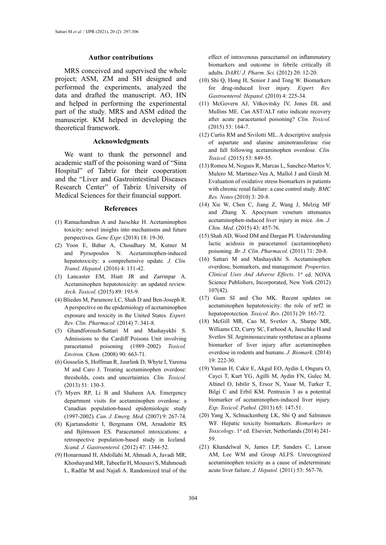#### **Author contributions**

MRS conceived and supervised the whole project; ASM, ZM and SH designed and performed the experiments, analyzed the data and drafted the manuscript. AO, HN and helped in performing the experimental part of the study. MRS and ASM edited the manuscript. KM helped in developing the theoretical framework.

#### **Acknowledgments**

We want to thank the personnel and academic staff of the poisoning ward of "Sina Hospital" of Tabriz for their cooperation and the "Liver and Gastrointestinal Diseases Research Center" of Tabriz University of Medical Sciences for their financial support.

### **References**

- (1) Ramachandran A and Jaeschke H. Acetaminophen toxicity: novel insights into mechanisms and future perspectives*. Gene Expr.* (2018) 18: 19-30.
- (2) Yoon E, Babar A, Choudhary M, Kutner M and Pyrsopoulos N. Acetaminophen-induced hepatotoxicity: a comprehensive update*. J. Clin. Transl. Hepatol.* (2016) 4: 131-42.
- (3) Lancaster EM, Hiatt JR and Zarrinpar A. Acetaminophen hepatotoxicity: an updated review*. Arch. Toxicol.* (2015) 89: 193-9.
- (4) Blieden M, Paramore LC, Shah D and Ben-Joseph R. A perspective on the epidemiology of acetaminophen exposure and toxicity in the United States*. Expert. Rev. Clin. Pharmacol.* (2014) 7: 341-8.
- (5) Ghandforoush-Sattari M and Mashayekhi S. Admissions to the Cardiff Poisons Unit involving paracetamol poisoning (1989–2002) *Toxicol. Environ. Chem.* (2008) 90: 663-71.
- (6) Gosselin S, Hoffman R, Juurlink D, Whyte I, Yarema M and Caro J. Treating acetaminophen overdose: thresholds, costs and uncertainties*. Clin. Toxicol.*  (2013) 51: 130-3.
- (7) Myers RP, Li B and Shaheen AA. Emergency department visits for acetaminophen overdose: a Canadian population-based epidemiologic study (1997-2002)*. Can. J. Emerg. Med.* (2007) 9: 267-74.
- (8) Kjartansdottir I, Bergmann OM, Arnadottir RS and Björnsson ES. Paracetamol intoxications: a retrospective population-based study in Iceland*. Scand. J. Gastroenterol.* (2012) 47: 1344-52.
- (9) Honarmand H, Abdollahi M, Ahmadi A, Javadi MR, Khoshayand MR, Tabeefar H, Mousavi S, Mahmoudi L, Radfar M and Najafi A. Randomized trial of the

effect of intravenous paracetamol on inflammatory biomarkers and outcome in febrile critically ill adults*. DARU J. Pharm. Sci.* (2012) 20: 12-20.

- (10) Shi Q, Hong H, Senior J and Tong W. Biomarkers for drug-induced liver injury*. Expert. Rev. Gastroenterol. Hepatol.* (2010) 4: 225-34.
- (11) McGovern AJ, Vitkovitsky IV, Jones DL and Mullins ME. Can AST/ALT ratio indicate recovery after acute paracetamol poisoning? *Clin. Toxicol.* (2015) 53: 164-7.
- (12) Curtis RM and Sivilotti ML. A descriptive analysis of aspartate and alanine aminotransferase rise and fall following acetaminophen overdose*. Clin. Toxicol.* (2015) 53: 849-55.
- (13) Romeu M, Nogues R, Marcas L, Sanchez-Martos V, Mulero M, Martinez-Vea A, Mallol J and Giralt M. Evaluation of oxidative stress biomarkers in patients with chronic renal failure: a case control study*. BMC Res. Notes* (2010) 3: 20-8.
- (14) Xie W, Chen C, Jiang Z, Wang J, Melzig MF and Zhang X. Apocynum venetum attenuates acetaminophen-induced liver injury in mice*. Am. J. Chin. Med*. (2015) 43: 457-76.
- (15) Shah AD, Wood DM and Dargan PI. Understanding lactic acidosis in paracetamol (acetaminophen) poisoning*. Br. J. Clin. Pharmacol.* (2011) 71: 20-8.
- (16) Sattari M and Mashayekhi S. Acetaminophen overdose, biomarkers, and management*. Properties, Clinical Uses And Adverse Effects*. 1st ed. NOVA Science Publishers, Incorporated, New York (2012) 107(42).
- (17) Gum SI and Cho MK. Recent updates on acetaminophen hepatotoxicity: the role of nrf2 in hepatoprotection*. Toxicol. Res*. (2013) 29: 165-72.
- (18) McGill MR, Cao M, Svetlov A, Sharpe MR, Williams CD, Curry SC, Farhood A, Jaeschke H and Svetlov SI. Argininosuccinate synthetase as a plasma biomarker of liver injury after acetaminophen overdose in rodents and humans. *J. Biomark.* (2014)  $19.222-30$
- (19) Yaman H, Cakir E, Akgul EO, Aydin I, Onguru O, Cayci T, Kurt YG, Agilli M, Aydin FN, Gulec M, Altinel O, Isbilir S, Ersoz N, Yasar M, Turker T, Bilgi C and Erbil KM. Pentraxin 3 as a potential biomarker of acetaminophen-induced liver injury. *Exp. Toxicol. Pathol.* (2013) 65: 147-51.
- (20) Yang X, Schnackenberg LK, Shi Q and Salminen WF. Hepatic toxicity biomarkers. *Biomarkers in Toxicology*. 1st ed. Elsevier, Netherlands (2014) 241- 59.
- (21) Khandelwal N, James LP, Sanders C, Larson AM, Lee WM and Group ALFS. Unrecognized acetaminophen toxicity as a cause of indeterminate acute liver failure. *J. Hepatol.* (2011) 53: 567-76.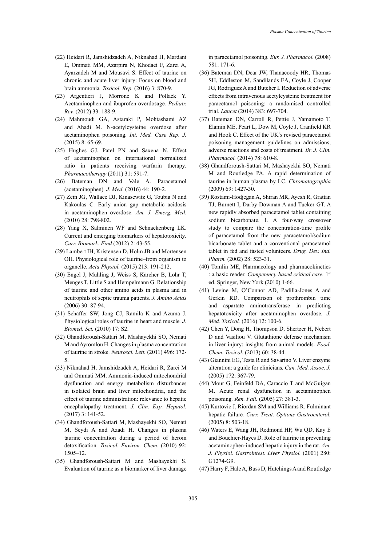- (22) Heidari R, Jamshidzadeh A, Niknahad H, Mardani E, Ommati MM, Azarpira N, Khodaei F, Zarei A, Ayarzadeh M and Mousavi S. Effect of taurine on chronic and acute liver injury: Focus on blood and brain ammonia*. Toxicol. Rep.* (2016) 3: 870-9.
- (23) Argentieri J, Morrone K and Pollack Y. Acetaminophen and ibuprofen overdosage*. Pediatr. Rev.* (2012) 33: 188-9.
- (24) Mahmoudi GA, Astaraki P, Mohtashami AZ and Ahadi M. N-acetylcysteine overdose after acetaminophen poisoning*. Int. Med. Case Rep. J.* (2015) 8: 65-69.
- (25) Hughes GJ, Patel PN and Saxena N. Effect of acetaminophen on international normalized ratio in patients receiving warfarin therapy*. Pharmacotherapy* (2011) 31: 591-7.
- (26) Bateman DN and Vale A. Paracetamol (acetaminophen)*. J. Med*. (2016) 44: 190-2.
- (27) Zein JG, Wallace DJ, Kinasewitz G, Toubia N and Kakoulas C. Early anion gap metabolic acidosis in acetaminophen overdose. *Am. J. Emerg. Med.* (2010) 28: 798-802.
- (28) Yang X, Salminen WF and Schnackenberg LK. Current and emerging biomarkers of hepatotoxicity*. Curr. Biomark. Find* (2012) 2: 43-55.
- (29) Lambert IH, Kristensen D, Holm JB and Mortensen OH. Physiological role of taurine–from organism to organelle*. Acta Physiol.* (2015) 213: 191-212.
- (30) Engel J, Mühling J, Weiss S, Kärcher B, Löhr T, Menges T, Little S and Hempelmann G. Relationship of taurine and other amino acids in plasma and in neutrophils of septic trauma patients*. J. Amino Acids* (2006) 30: 87-94.
- (31) Schaffer SW, Jong CJ, Ramila K and Azuma J. Physiological roles of taurine in heart and muscle*. J. Biomed. Sci.* (2010) 17: S2.
- (32) Ghandforoush-Sattari M, Mashayekhi SO, Nemati M and Ayromlou H. Changes in plasma concentration of taurine in stroke*. Neurosci. Lett.* (2011) 496: 172- 5.
- (33) Niknahad H, Jamshidzadeh A, Heidari R, Zarei M and Ommati MM. Ammonia-induced mitochondrial dysfunction and energy metabolism disturbances in isolated brain and liver mitochondria, and the effect of taurine administration: relevance to hepatic encephalopathy treatment. *J. Clin. Exp. Hepatol.* (2017) 3: 141-52.
- (34) Ghandforoush-Sattari M, Mashayekhi SO, Nemati M, Seydi A and Azadi H. Changes in plasma taurine concentration during a period of heroin detoxification*. Toxicol. Environ. Chem.* (2010) 92: 1505–12.
- (35) Ghandforoush-Sattari M and Mashayekhi S. Evaluation of taurine as a biomarker of liver damage

in paracetamol poisoning*. Eur. J. Pharmacol.* (2008) 581: 171-6.

- (36) Bateman DN, Dear JW, Thanacoody HR, Thomas SH, Eddleston M, Sandilands EA, Coyle J, Cooper JG, Rodriguez A and Butcher I. Reduction of adverse effects from intravenous acetylcysteine treatment for paracetamol poisoning: a randomised controlled trial*. Lancet* (2014) 383: 697-704.
- (37) Bateman DN, Carroll R, Pettie J, Yamamoto T, Elamin ME, Peart L, Dow M, Coyle J, Cranfield KR and Hook C. Effect of the UK's revised paracetamol poisoning management guidelines on admissions, adverse reactions and costs of treatment*. Br. J. Clin. Pharmacol.* (2014) 78: 610-8.
- (38) Ghandforoush-Sattari M, Mashayekhi SO, Nemati M and Routledge PA. A rapid determination of taurine in human plasma by LC*. Chromatographia* (2009) 69: 1427-30.
- (39) Rostami-Hodjegan A, Shiran MR, Ayesh R, Grattan TJ, Burnett I, Darby-Dowman A and Tucker GT. A new rapidly absorbed paracetamol tablet containing sodium bicarbonate. I. A four-way crossover study to compare the concentration-time profile of paracetamol from the new paracetamol/sodium bicarbonate tablet and a conventional paracetamol tablet in fed and fasted volunteers*. Drug. Dev. Ind. Pharm.* (2002) 28: 523-31.
- (40) Tomlin ME, Pharmacology and pharmacokinetics : a basic reader. *Competency-based critical care.* 1st ed. Springer, New York (2010) 1-66.
- (41) Levine M, O'Connor AD, Padilla-Jones A and Gerkin RD. Comparison of prothrombin time and aspartate aminotransferase in predicting hepatotoxicity after acetaminophen overdose*. J. Med. Toxicol.* (2016) 12: 100-6.
- (42) Chen Y, Dong H, Thompson D, Shertzer H, Nebert D and Vasiliou V. Glutathione defense mechanism in liver injury: insights from animal models. *Food. Chem. Toxicol.* (2013) 60: 38-44.
- (43) Giannini EG, Testa R and Savarino V. Liver enzyme alteration: a guide for clinicians*. Can. Med. Assoc. J.*  (2005) 172: 367-79.
- (44) Mour G, Feinfeld DA, Caraccio T and McGuigan M. Acute renal dysfunction in acetaminophen poisoning*. Ren. Fail.* (2005) 27: 381-3.
- (45) Kurtovic J, Riordan SM and Williams R. Fulminant hepatic failure*. Curr. Treat. Options Gastroenterol.* (2005) 8: 503-18.
- (46) Waters E, Wang JH, Redmond HP, Wu QD, Kay E and Bouchier-Hayes D. Role of taurine in preventing acetaminophen-induced hepatic injury in the rat*. Am. J. Physiol. Gastrointest. Liver Physiol.* (2001) 280: G1274-G9.
- (47) Harry F, Hale A, Buss D, Hutchings A and Routledge